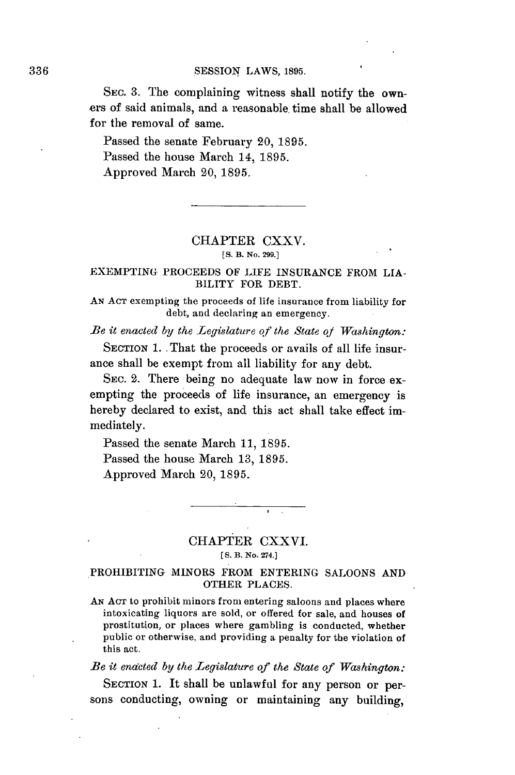### **336 SESSION** LAWS, **1895.**

SEC. **3.** The complaining witness shall notify the owners of said animals, and a reasonable. time shall be allowed for the removal of same.

Passed the senate February 20, **1895.** Passed the house March 14, **1895.** Approved March 20, **1895.**

# CHAPTER CXXV.

### **[S. B. No. 299.]**

### EXEMPTING PROCEEDS OF **LIFE INSURANCE** FROM **LIA-**BILITY FOR DEBT.

**AN ACT** exempting the proceeds of life insurance from liability for debt, and declaring an emergency.

# *Be it enacted by the Legislature of the State qf Washington:*

SECTION 1. That the proceeds or avails of all life insurance shall be exempt from all liability for any debt.

SEC. 2. There being no adequate law now in force exempting the proceeds of life insurance, an emergency is hereby declared to exist, and this act shall take effect immediately.

Passed the senate March **11, 1895.** Passed the house March **13, 1895.** Approved March **20, 1895.**

# CHAPTER CXXVI. **[S. B. No. 274.]**

#### PROHIBITING MINORS FROM **ENTERING SALOONS AND OTHER PLACES.**

**AN ACT** to prohibit minors from entering saloons and places where intoxicating liquors are sold, or offered for sale, and houses of prostitution, or places where gambling is conducted, whether public or otherwise, and providing a penalty for the violation of this act.

### *Be it enacted by the Legislature of the State of Washington:*

SECTION 1. It shall be unlawful for any person or persons conducting, owning or maintaining any building,